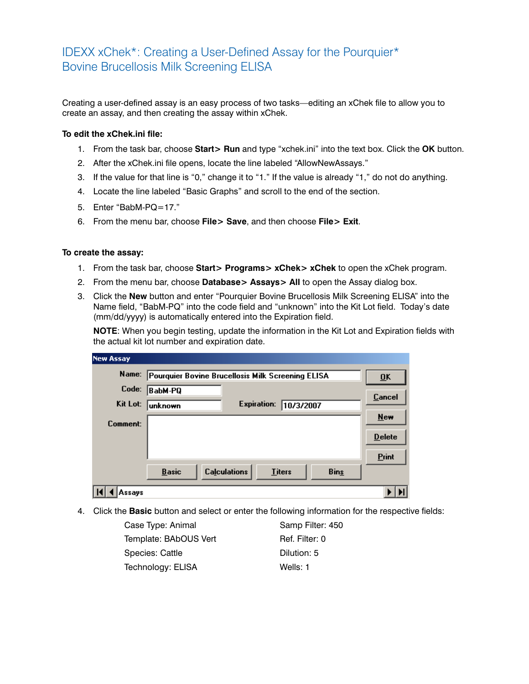## IDEXX xChek\*: Creating a User-Defined Assay for the Pourquier\* Bovine Brucellosis Milk Screening ELISA

Creating a user-defined assay is an easy process of two tasks—editing an xChek file to allow you to create an assay, and then creating the assay within xChek.

## **To edit the xChek.ini file:**

- 1. From the task bar, choose **Start> Run** and type "xchek.ini" into the text box. Click the **OK** button.
- 2. After the xChek.ini file opens, locate the line labeled "AllowNewAssays."
- 3. If the value for that line is "0," change it to "1." If the value is already "1," do not do anything.
- 4. Locate the line labeled "Basic Graphs" and scroll to the end of the section.
- 5. Enter "BabM-PQ=17."
- 6. From the menu bar, choose **File> Save**, and then choose **File> Exit**.

## **To create the assay:**

- 1. From the task bar, choose **Start> Programs> xChek> xChek** to open the xChek program.
- 2. From the menu bar, choose **Database> Assays> All** to open the Assay dialog box.
- 3. Click the **New** button and enter "Pourquier Bovine Brucellosis Milk Screening ELISA" into the Name field, "BabM-PQ" into the code field and "unknown" into the Kit Lot field. Today's date (mm/dd/yyyy) is automatically entered into the Expiration field.

**NOTE:** When you begin testing, update the information in the Kit Lot and Expiration fields with the actual kit lot number and expiration date.

| <b>New Assay</b> |                                                                     |                           |
|------------------|---------------------------------------------------------------------|---------------------------|
| Name:            | Pourquier Bovine Brucellosis Milk Screening ELISA                   | $\overline{\mathbf{0}}$ K |
| Code:            | BabM-PQ                                                             | Cancel                    |
| Kit Lot:         | <b>Expiration:</b><br>10/3/2007<br> unknown                         |                           |
| Comment:         |                                                                     | New                       |
|                  |                                                                     | <b>Delete</b>             |
|                  |                                                                     | Print                     |
|                  | <b>Calculations</b><br><b>Basic</b><br><b>Titers</b><br><b>Bins</b> |                           |
| Assavs           |                                                                     |                           |

4. Click the **Basic** button and select or enter the following information for the respective fields:

Case Type: Animal Samp Filter: 450 Template: BAbOUS Vert Ref. Filter: 0 Species: Cattle Dilution: 5 Technology: ELISA Wells: 1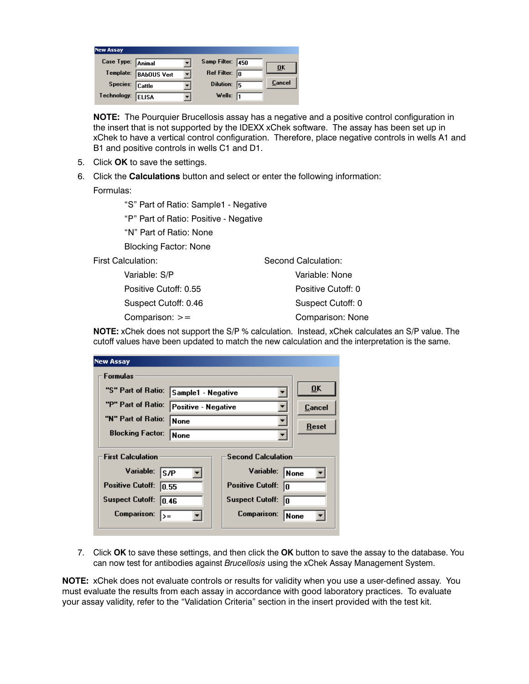| <b>New Assay</b>  |                       |                         |                  |
|-------------------|-----------------------|-------------------------|------------------|
| Case Type: Animal |                       | Samp Filter: 450        | $\overline{0}$ K |
|                   | Template: BAbOUS Vert | Ref Filter: $\boxed{0}$ |                  |
| Species: Cattle   |                       | Dilution: 5             | Cancel           |
| Technology:       | ELISA                 | Wells: $\sqrt{1}$       |                  |

**NOTE:** The Pourquier Brucellosis assay has a negative and a positive control configuration in the insert that is not supported by the IDEXX xChek software. The assay has been set up in xChek to have a vertical control configuration. Therefore, place negative controls in wells A1 and B1 and positive controls in wells C1 and D1.

- 5. Click **OK** to save the settings.
- 6. Click the **Calculations** button and select or enter the following information:

Formulas:

"S" Part of Ratio: Sample1 - Negative

"P" Part of Ratio: Positive - Negative

"N" Part of Ratio: None

Blocking Factor: None

First Calculation:

 Variable: S/P Positive Cutoff: 0.55 Suspect Cutoff: 0.46 Comparison: >=

Second Calculation: Variable: None Positive Cutoff: 0 Suspect Cutoff: 0 Comparison: None

**NOTE:** xChek does not support the S/P % calculation. Instead, xChek calculates an S/P value. The cutoff values have been updated to match the new calculation and the interpretation is the same.

| <b>New Assay</b>           |                            |                               |                           |  |  |
|----------------------------|----------------------------|-------------------------------|---------------------------|--|--|
| <b>Formulas</b>            |                            |                               |                           |  |  |
| "S" Part of Ratio:         | Sample1 - Negative         |                               | $\overline{\mathbf{0}}$ K |  |  |
| "P" Part of Ratio:         | <b>Positive - Negative</b> |                               | Cancel                    |  |  |
| "N" Part of Ratio:         | None                       |                               | Reset                     |  |  |
| <b>Blocking Factor:</b>    | <b>None</b>                |                               |                           |  |  |
| <b>First Calculation</b>   | <b>Second Calculation</b>  |                               |                           |  |  |
| Variable:<br><b>S/P</b>    |                            | Variable:                     | l None                    |  |  |
| <b>Positive Cutoff:</b>    | 0.55                       | <b>Positive Cutoff:</b><br>lo |                           |  |  |
| <b>Suspect Cutoff:</b>     | 10.46                      | <b>Suspect Cutoff:</b><br>In  |                           |  |  |
| <b>Comparison:</b><br>$>=$ |                            | Comparison:                   | None                      |  |  |
|                            |                            |                               |                           |  |  |

7. Click **OK** to save these settings, and then click the **OK** button to save the assay to the database. You can now test for antibodies against *Brucellosis* using the xChek Assay Management System.

**NOTE:** xChek does not evaluate controls or results for validity when you use a user-defined assay. You must evaluate the results from each assay in accordance with good laboratory practices. To evaluate your assay validity, refer to the "Validation Criteria" section in the insert provided with the test kit.